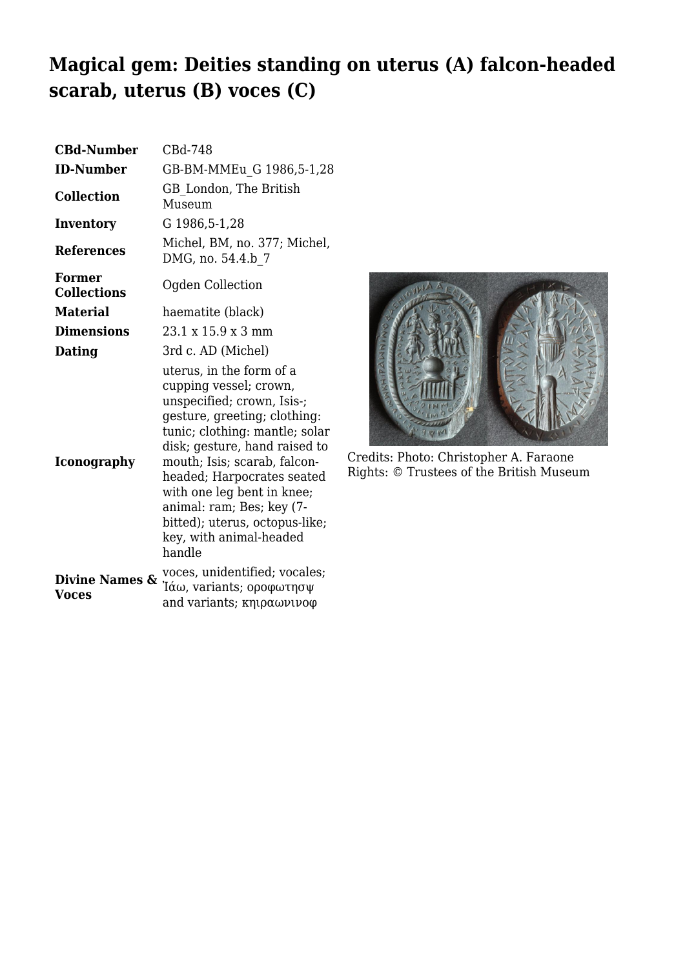## **Magical gem: Deities standing on uterus (A) falcon-headed scarab, uterus (B) voces (C)**

| <b>CBd-Number</b>            | CBd-748                                                                                                                                                                                                                                                                                                                                                                             |
|------------------------------|-------------------------------------------------------------------------------------------------------------------------------------------------------------------------------------------------------------------------------------------------------------------------------------------------------------------------------------------------------------------------------------|
| <b>ID-Number</b>             | GB-BM-MMEu G 1986,5-1,28                                                                                                                                                                                                                                                                                                                                                            |
| <b>Collection</b>            | GB London, The British<br>Museum                                                                                                                                                                                                                                                                                                                                                    |
| Inventory                    | G 1986, 5-1, 28                                                                                                                                                                                                                                                                                                                                                                     |
| <b>References</b>            | Michel, BM, no. 377; Michel,<br>DMG, no. 54.4.b 7                                                                                                                                                                                                                                                                                                                                   |
| Former<br><b>Collections</b> | Ogden Collection                                                                                                                                                                                                                                                                                                                                                                    |
| <b>Material</b>              | haematite (black)                                                                                                                                                                                                                                                                                                                                                                   |
| <b>Dimensions</b>            | $23.1 \times 15.9 \times 3 \text{ mm}$                                                                                                                                                                                                                                                                                                                                              |
| Dating                       | 3rd c. AD (Michel)                                                                                                                                                                                                                                                                                                                                                                  |
| <b>Iconography</b>           | uterus, in the form of a<br>cupping vessel; crown,<br>unspecified; crown, Isis-;<br>gesture, greeting; clothing:<br>tunic; clothing: mantle; solar<br>disk; gesture, hand raised to<br>mouth; Isis; scarab, falcon-<br>headed; Harpocrates seated<br>with one leg bent in knee;<br>animal: ram; Bes; key (7-<br>bitted); uterus, octopus-like;<br>key, with animal-headed<br>handle |
| Divine Names &<br>Voces      | voces, unidentified; vocales;<br>Ίάω, variants; οροφωτησψ<br>and variants; κηιραωνινοφ                                                                                                                                                                                                                                                                                              |



Credits: Photo: Christopher A. Faraone Rights: © Trustees of the British Museum